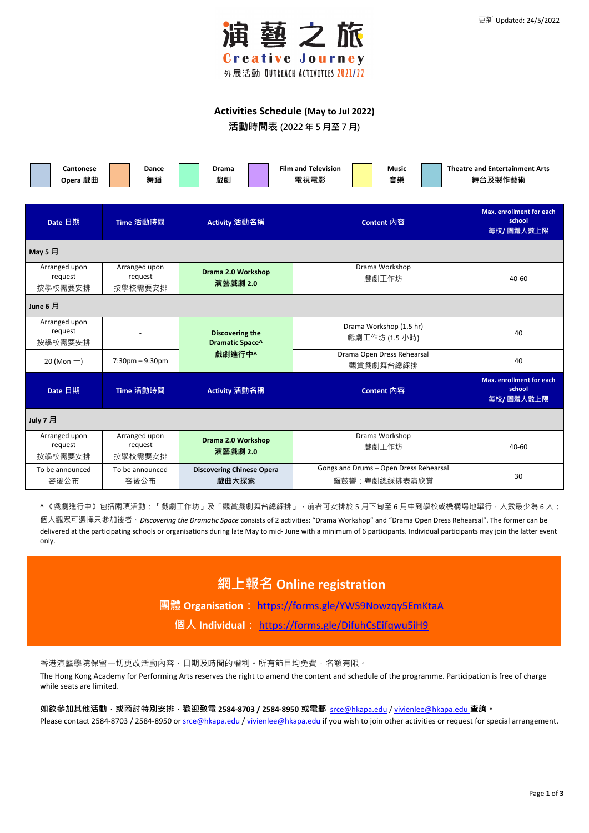

## **Activities Schedule (May to Jul 2022)**

**活動時間表 (2022 年 5 月至 7 月)**

| <b>Cantonese</b><br>Opera 戲曲        | Dance<br>舞蹈                         | <b>Drama</b><br>戲劇                                  | <b>Film and Television</b><br><b>Music</b><br>電視電影<br>音樂 | <b>Theatre and Entertainment Arts</b><br>舞台及製作藝術       |  |  |
|-------------------------------------|-------------------------------------|-----------------------------------------------------|----------------------------------------------------------|--------------------------------------------------------|--|--|
| Date 日期                             | Time 活動時間                           | Activity 活動名稱                                       | Content 內容                                               | <b>Max. enrollment for each</b><br>school<br>每校/團體人數上限 |  |  |
| May 5 月                             |                                     |                                                     |                                                          |                                                        |  |  |
| Arranged upon<br>request<br>按學校需要安排 | Arranged upon<br>request<br>按學校需要安排 | <b>Drama 2.0 Workshop</b><br>演藝戲劇 2.0               | Drama Workshop<br>戲劇工作坊                                  | 40-60                                                  |  |  |
| June 6 月                            |                                     |                                                     |                                                          |                                                        |  |  |
| Arranged upon<br>request<br>按學校需要安排 |                                     | <b>Discovering the</b><br>Dramatic Space^<br>戲劇進行中^ | Drama Workshop (1.5 hr)<br>戲劇工作坊 (1.5 小時)                | 40                                                     |  |  |
| 20 (Mon $-$ )                       | $7:30$ pm $-9:30$ pm                |                                                     | Drama Open Dress Rehearsal<br>觀賞戲劇舞台總綵排                  | 40                                                     |  |  |
| Date 日期                             | Time 活動時間                           | Activity 活動名稱                                       | Content 內容                                               | <b>Max. enrollment for each</b><br>school<br>每校/團體人數上限 |  |  |
| July 7 月                            |                                     |                                                     |                                                          |                                                        |  |  |
| Arranged upon<br>request<br>按學校需要安排 | Arranged upon<br>request<br>按學校需要安排 | <b>Drama 2.0 Workshop</b><br>演藝戲劇 2.0               | Drama Workshop<br>戲劇工作坊                                  | 40-60                                                  |  |  |
| To be announced<br>容後公布             | To be announced<br>容後公布             | <b>Discovering Chinese Opera</b><br>戲曲大探索           | Gongs and Drums - Open Dress Rehearsal<br>鑼鼓響:粤劇總綵排表演欣賞  | 30                                                     |  |  |

<mark>^ 《</mark>戲劇進行中》包括兩項活動:「戲劇工作坊」及「觀賞戲劇舞台總綵排」,前者可安排於 5 月下旬至 6 月中到學校或機構場地舉行,人數最少為 6 人;

個人觀眾可選擇只參加後者。*Discovering the Dramatic Space* consists of 2 activities: "Drama Workshop" and "Drama Open Dress Rehearsal". The former can be delivered at the participating schools or organisations during late May to mid- June with a minimum of 6 participants. Individual participants may join the latter event only.

**網上報名 Online registration**

**團體 Organisation:** <https://forms.gle/YWS9Nowzqy5EmKtaA>

**個人 Individual:** <https://forms.gle/DifuhCsEifqwu5iH9>

## 香港演藝學院保留一切更改活動內容、日期及時間的權利。所有節目均免費,名額有限。

The Hong Kong Academy for Performing Arts reserves the right to amend the content and schedule of the programme. Participation is free of charge while seats are limited.

**如欲參加其他活動,或商討特別安排,歡迎致電 2584-8703 / 2584-8950 或電郵** [srce@hkapa.edu](mailto:srce@hkapa.edu) [/ vivienlee@hkapa.edu](mailto:vivienlee@hkapa.edu) **查詢。**

Please contact 2584-8703 / 2584-8950 or [srce@hkapa.edu](mailto:srce@hkapa.edu) / [vivienlee@hkapa.edu](mailto:vivienlee@hkapa.edu) if you wish to join other activities or request for special arrangement.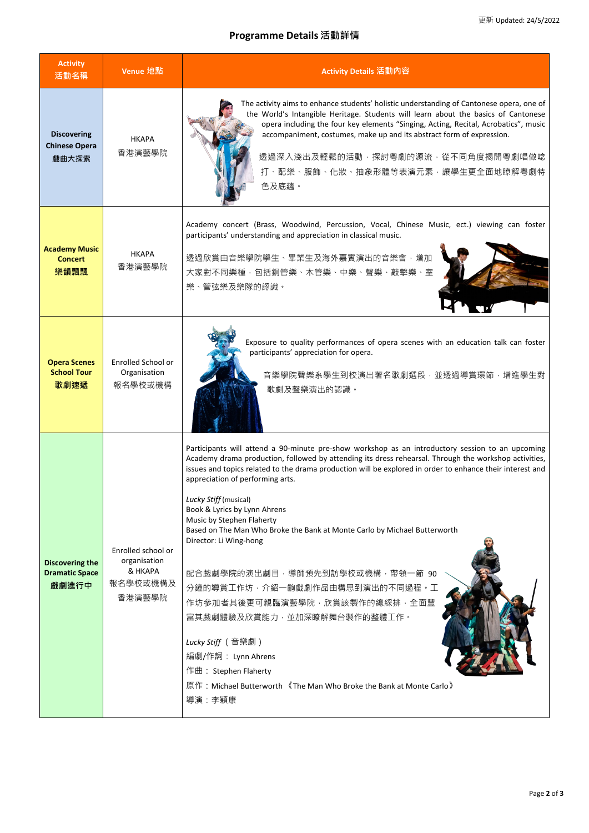## **Programme Details 活動詳情**

| <b>Activity</b><br>活動名稱                                  | Venue 地點                                      | Activity Details 活動內容                                                                                                                                                                                                                                                                                                                                                                                                                                                                                                                                   |  |  |
|----------------------------------------------------------|-----------------------------------------------|---------------------------------------------------------------------------------------------------------------------------------------------------------------------------------------------------------------------------------------------------------------------------------------------------------------------------------------------------------------------------------------------------------------------------------------------------------------------------------------------------------------------------------------------------------|--|--|
| <b>Discovering</b><br><b>Chinese Opera</b><br>戲曲大探索      | <b>HKAPA</b><br>香港演藝學院                        | The activity aims to enhance students' holistic understanding of Cantonese opera, one of<br>the World's Intangible Heritage. Students will learn about the basics of Cantonese<br>opera including the four key elements "Singing, Acting, Recital, Acrobatics", music<br>accompaniment, costumes, make up and its abstract form of expression.<br>透過深入淺出及輕鬆的活動,探討粵劇的源流,從不同角度揭開粵劇唱做唸<br>打、配樂、服飾、化妝、抽象形體等表演元素,讓學生更全面地瞭解粵劇特<br>色及底蘊。                                                                                                                       |  |  |
| <b>Academy Music</b><br><b>Concert</b><br>樂韻飄飄           | <b>HKAPA</b><br>香港演藝學院                        | Academy concert (Brass, Woodwind, Percussion, Vocal, Chinese Music, ect.) viewing can foster<br>participants' understanding and appreciation in classical music.<br>透過欣賞由音樂學院學生、畢業生及海外嘉賓演出的音樂會,增加<br>大家對不同樂種,包括銅管樂、木管樂、中樂、聲樂、敲擊樂、室<br>樂、管弦樂及樂隊的認識。                                                                                                                                                                                                                                                                                                      |  |  |
| <b>Opera Scenes</b><br><b>School Tour</b><br>歌劇速遞        | Enrolled School or<br>Organisation<br>報名學校或機構 | Exposure to quality performances of opera scenes with an education talk can foster<br>participants' appreciation for opera.<br>音樂學院聲樂系學生到校演出著名歌劇選段,並透過導賞環節,增進學生對<br>歌劇及聲樂演出的認識。                                                                                                                                                                                                                                                                                                                                                                         |  |  |
|                                                          | Enrolled school or                            | Participants will attend a 90-minute pre-show workshop as an introductory session to an upcoming<br>Academy drama production, followed by attending its dress rehearsal. Through the workshop activities,<br>issues and topics related to the drama production will be explored in order to enhance their interest and<br>appreciation of performing arts.<br>Lucky Stiff (musical)<br>Book & Lyrics by Lynn Ahrens<br>Music by Stephen Flaherty<br>Based on The Man Who Broke the Bank at Monte Carlo by Michael Butterworth<br>Director: Li Wing-hong |  |  |
| <b>Discovering the</b><br><b>Dramatic Space</b><br>戲劇進行中 | organisation<br>& HKAPA<br>報名學校或機構及<br>香港演藝學院 | 配合戲劇學院的演出劇目,導師預先到訪學校或機構,帶領一節 90<br>分鐘的導賞工作坊, 介紹一齣戲劇作品由構思到演出的不同過程。工<br>作坊參加者其後更可親臨演藝學院,欣賞該製作的總綵排,全面豐<br>富其戲劇體驗及欣賞能力,並加深瞭解舞台製作的整體工作。                                                                                                                                                                                                                                                                                                                                                                                                                      |  |  |